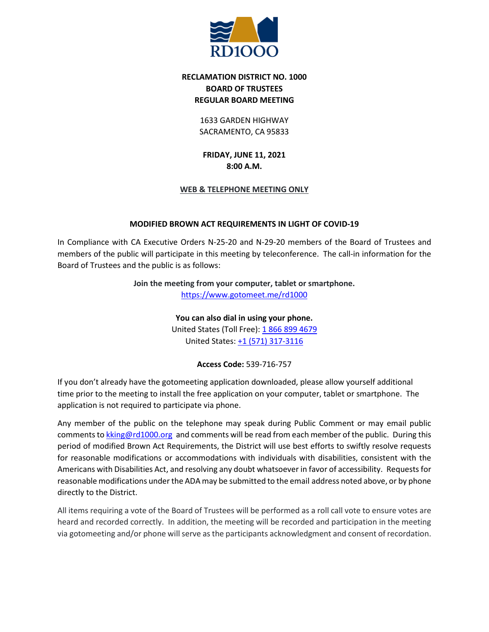

# **RECLAMATION DISTRICT NO. 1000 BOARD OF TRUSTEES REGULAR BOARD MEETING**

1633 GARDEN HIGHWAY SACRAMENTO, CA 95833

**FRIDAY, JUNE 11, 2021 8:00 A.M.**

# **WEB & TELEPHONE MEETING ONLY**

# **MODIFIED BROWN ACT REQUIREMENTS IN LIGHT OF COVID-19**

In Compliance with CA Executive Orders N-25-20 and N-29-20 members of the Board of Trustees and members of the public will participate in this meeting by teleconference. The call-in information for the Board of Trustees and the public is as follows:

**Join the meeting from your computer, tablet or smartphone.**

<https://www.gotomeet.me/rd1000>

**You can also dial in using your phone.** United States (Toll Free): [1 866 899 4679](tel:+18668994679,,539716757) United States: [+1 \(571\) 317-3116](tel:+15713173116,,539716757)

**Access Code:** 539-716-757

If you don't already have the gotomeeting application downloaded, please allow yourself additional time prior to the meeting to install the free application on your computer, tablet or smartphone. The application is not required to participate via phone.

Any member of the public on the telephone may speak during Public Comment or may email public comments to [kking@rd1000.org](mailto:kking@rd1000.org) and comments will be read from each member of the public. During this period of modified Brown Act Requirements, the District will use best efforts to swiftly resolve requests for reasonable modifications or accommodations with individuals with disabilities, consistent with the Americans with Disabilities Act, and resolving any doubt whatsoever in favor of accessibility. Requests for reasonable modifications under the ADA may be submitted to the email address noted above, or by phone directly to the District.

All items requiring a vote of the Board of Trustees will be performed as a roll call vote to ensure votes are heard and recorded correctly. In addition, the meeting will be recorded and participation in the meeting via gotomeeting and/or phone will serve as the participants acknowledgment and consent of recordation.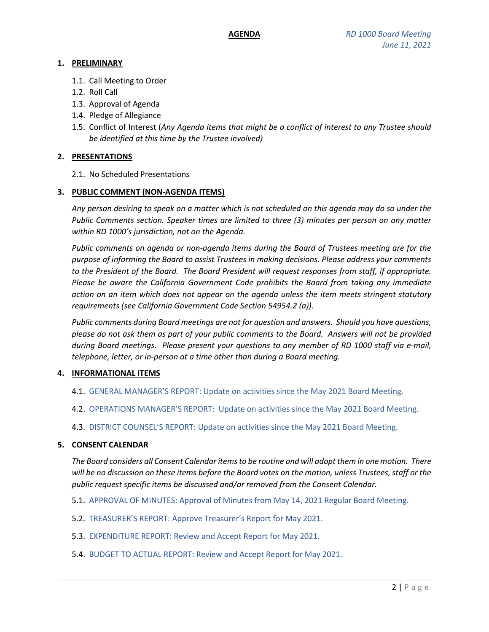# **1. PRELIMINARY**

- 1.1. Call Meeting to Order
- 1.2. Roll Call
- 1.3. Approval of Agenda
- 1.4. Pledge of Allegiance
- 1.5. Conflict of Interest (*Any Agenda items that might be a conflict of interest to any Trustee should be identified at this time by the Trustee involved)*

# **2. PRESENTATIONS**

2.1. No Scheduled Presentations

### **3. PUBLIC COMMENT (NON-AGENDA ITEMS)**

*Any person desiring to speak on a matter which is not scheduled on this agenda may do so under the Public Comments section. Speaker times are limited to three (3) minutes per person on any matter within RD 1000's jurisdiction, not on the Agenda.*

*Public comments on agenda or non-agenda items during the Board of Trustees meeting are for the purpose of informing the Board to assist Trustees in making decisions. Please address your comments to the President of the Board. The Board President will request responses from staff, if appropriate. Please be aware the California Government Code prohibits the Board from taking any immediate action on an item which does not appear on the agenda unless the item meets stringent statutory requirements (see California Government Code Section 54954.2 (a)).*

*Public comments during Board meetings are not for question and answers. Should you have questions, please do not ask them as part of your public comments to the Board. Answers will not be provided during Board meetings. Please present your questions to any member of RD 1000 staff via e-mail, telephone, letter, or in-person at a time other than during a Board meeting.*

# **4. INFORMATIONAL ITEMS**

- 4.1. GENERAL MANAGER'S REPORT: Update on activities since the May 2021 Board Meeting.
- 4.2. OPERATIONS MANAGER'S REPORT: Update on activities since the May 2021 Board Meeting.
- 4.3. DISTRICT COUNSEL'S REPORT: Update on activities since the May 2021 Board Meeting.

### **5. CONSENT CALENDAR**

*The Board considers all Consent Calendar items to be routine and will adopt them in one motion. There will be no discussion on these items before the Board votes on the motion, unless Trustees, staff or the public request specific items be discussed and/or removed from the Consent Calendar.*

- 5.1. APPROVAL OF MINUTES: Approval of Minutes from May 14, 2021 Regular Board Meeting.
- 5.2. TREASURER'S REPORT: Approve Treasurer's Report for May 2021.
- 5.3. EXPENDITURE REPORT: Review and Accept Report for May 2021.
- 5.4. BUDGET TO ACTUAL REPORT: Review and Accept Report for May 2021.